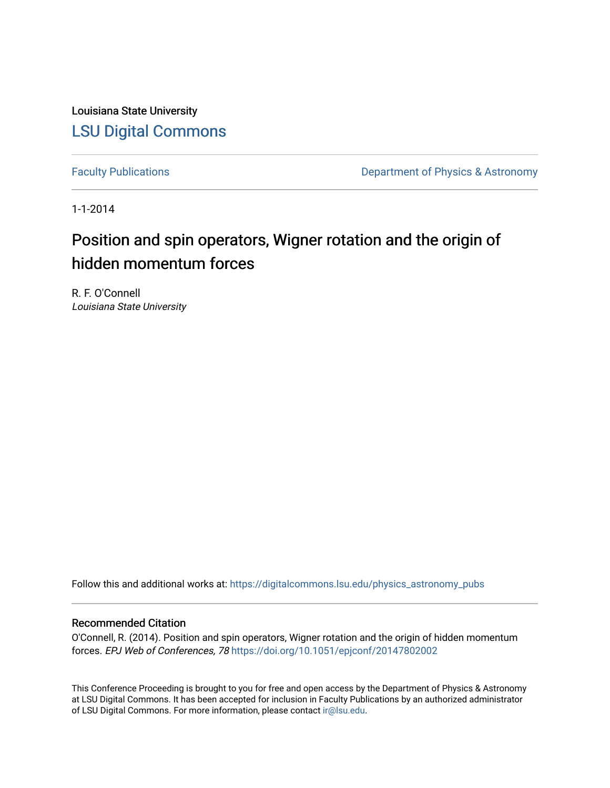Louisiana State University [LSU Digital Commons](https://digitalcommons.lsu.edu/)

[Faculty Publications](https://digitalcommons.lsu.edu/physics_astronomy_pubs) **Exercise 2 and Table 2 and Table 2 and Table 2 and Table 2 and Table 2 and Table 2 and Table 2 and Table 2 and Table 2 and Table 2 and Table 2 and Table 2 and Table 2 and Table 2 and Table 2 and Table** 

1-1-2014

# Position and spin operators, Wigner rotation and the origin of hidden momentum forces

R. F. O'Connell Louisiana State University

Follow this and additional works at: [https://digitalcommons.lsu.edu/physics\\_astronomy\\_pubs](https://digitalcommons.lsu.edu/physics_astronomy_pubs?utm_source=digitalcommons.lsu.edu%2Fphysics_astronomy_pubs%2F3863&utm_medium=PDF&utm_campaign=PDFCoverPages) 

## Recommended Citation

O'Connell, R. (2014). Position and spin operators, Wigner rotation and the origin of hidden momentum forces. EPJ Web of Conferences, 78 <https://doi.org/10.1051/epjconf/20147802002>

This Conference Proceeding is brought to you for free and open access by the Department of Physics & Astronomy at LSU Digital Commons. It has been accepted for inclusion in Faculty Publications by an authorized administrator of LSU Digital Commons. For more information, please contact [ir@lsu.edu](mailto:ir@lsu.edu).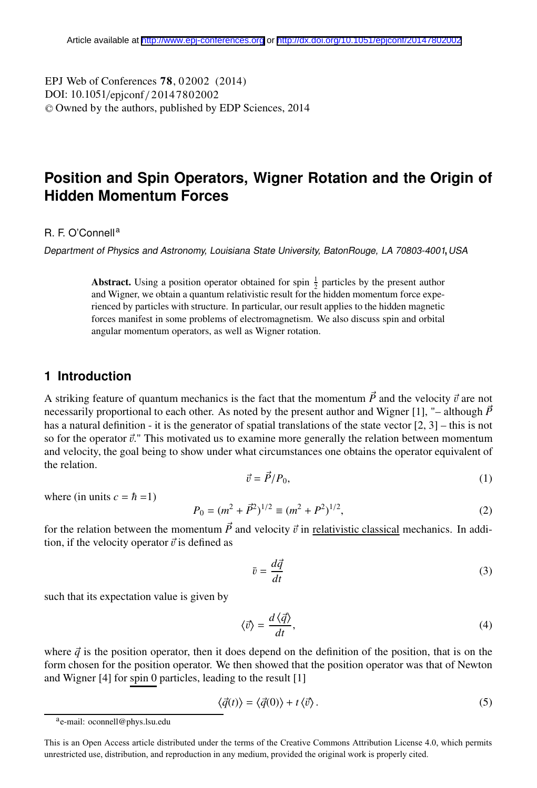E13 web of Conferences 78, 02002 (<br>DOI: 10.1051/epjconf / 20147802002 -<sup>C</sup> Owned by the authors, published by EDP Sciences, 2014 , 02002 (2014) EPJ Web of Conferences **7 8** 

# **Position and Spin Operators, Wigner Rotation and the Origin of Hidden Momentum Forces**

#### R. F. O'Connell<sup>a</sup>

Department of Physics and Astronomy, Louisiana State University, BatonRouge, LA 70803-4001, USA

**Abstract.** Using a position operator obtained for spin  $\frac{1}{2}$  particles by the present author and Wigner, we obtain a quantum relativistic result for the hidden momentum force experienced by particles with structure. In particular, our result applies to the hidden magnetic forces manifest in some problems of electromagnetism. We also discuss spin and orbital angular momentum operators, as well as Wigner rotation.

### **1 Introduction**

A striking feature of quantum mechanics is the fact that the momentum  $\vec{P}$  and the velocity  $\vec{v}$  are not necessarily proportional to each other. As noted by the present author and Wigner [1], "-although  $\vec{P}$ has a natural definition - it is the generator of spatial translations of the state vector  $[2, 3]$  – this is not so for the operator  $\vec{v}$ ." This motivated us to examine more generally the relation between momentum and velocity, the goal being to show under what circumstances one obtains the operator equivalent of the relation.

$$
\vec{v} = \vec{P}/P_0,\tag{1}
$$

where (in units  $c = \hbar = 1$ )

$$
P_0 = (m^2 + \vec{P}^2)^{1/2} \equiv (m^2 + P^2)^{1/2},\tag{2}
$$

for the relation between the momentum  $\vec{P}$  and velocity  $\vec{v}$  in <u>relativistic classical</u> mechanics. In addition, if the velocity operator  $\vec{v}$  is defined as

$$
\bar{v} = \frac{d\vec{q}}{dt} \tag{3}
$$

such that its expectation value is given by

$$
\langle \vec{v} \rangle = \frac{d \langle \vec{q} \rangle}{dt},\tag{4}
$$

where  $\vec{q}$  is the position operator, then it does depend on the definition of the position, that is on the form chosen for the position operator. We then showed that the position operator was that of Newton and Wigner [4] for spin 0 particles, leading to the result [1]

$$
\langle \vec{q}(t) \rangle = \langle \vec{q}(0) \rangle + t \langle \vec{v} \rangle. \tag{5}
$$

ae-mail: oconnell@phys.lsu.edu

This is an Open Access article distributed under the terms of the Creative Commons Attribution License 4.0, which permits unrestricted use, distribution, and reproduction in any medium, provided the original work is properly cited.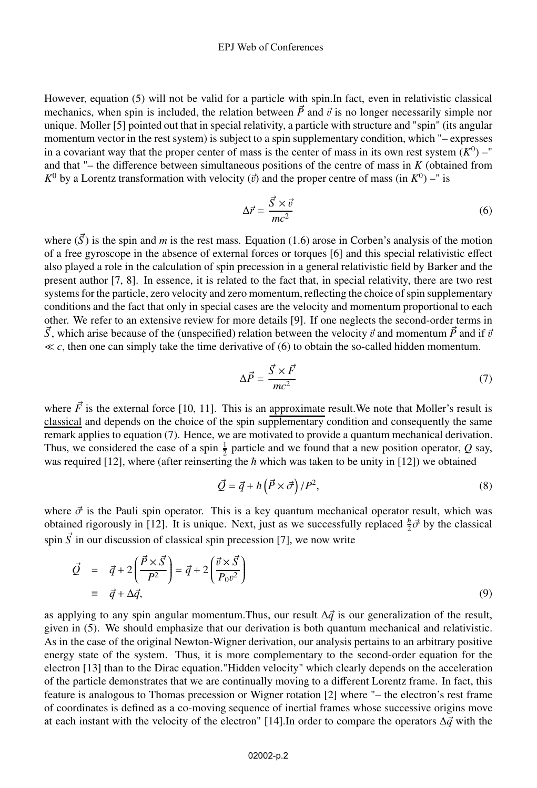#### EPJ Web of Conferences

However, equation (5) will not be valid for a particle with spin.In fact, even in relativistic classical mechanics, when spin is included, the relation between  $\vec{P}$  and  $\vec{v}$  is no longer necessarily simple nor unique. Moller [5] pointed out that in special relativity, a particle with structure and "spin" (its angular momentum vector in the rest system) is subject to a spin supplementary condition, which "– expresses in a covariant way that the proper center of mass is the center of mass in its own rest system  $(K^0)$  –" and that "– the difference between simultaneous positions of the centre of mass in *K* (obtained from  $K^0$  by a Lorentz transformation with velocity ( $\vec{v}$ ) and the proper centre of mass (in  $K^0$ ) –" is

$$
\Delta \vec{r} = \frac{\vec{S} \times \vec{v}}{mc^2} \tag{6}
$$

where  $(\vec{S})$  is the spin and *m* is the rest mass. Equation (1.6) arose in Corben's analysis of the motion of a free gyroscope in the absence of external forces or torques [6] and this special relativistic effect also played a role in the calculation of spin precession in a general relativistic field by Barker and the present author [7, 8]. In essence, it is related to the fact that, in special relativity, there are two rest systems for the particle, zero velocity and zero momentum, reflecting the choice of spin supplementary conditions and the fact that only in special cases are the velocity and momentum proportional to each other. We refer to an extensive review for more details [9]. If one neglects the second-order terms in  $\vec{S}$ , which arise because of the (unspecified) relation between the velocity  $\vec{v}$  and momentum  $\vec{P}$  and if  $\vec{v}$  $\ll c$ , then one can simply take the time derivative of (6) to obtain the so-called hidden momentum.

$$
\Delta \vec{P} = \frac{\vec{S} \times \vec{F}}{mc^2} \tag{7}
$$

where  $\vec{F}$  is the external force [10, 11]. This is an approximate result. We note that Moller's result is classical and depends on the choice of the spin supplementary condition and consequently the same remark applies to equation (7). Hence, we are motivated to provide a quantum mechanical derivation. Thus, we considered the case of a spin  $\frac{1}{2}$  particle and we found that a new position operator, *Q* say, was required [12], where (after reinserting the  $\hbar$  which was taken to be unity in [12]) we obtained

$$
\vec{Q} = \vec{q} + \hbar \left( \vec{P} \times \vec{\sigma} \right) / P^2, \tag{8}
$$

where  $\vec{\sigma}$  is the Pauli spin operator. This is a key quantum mechanical operator result, which was obtained rigorously in [12]. It is unique. Next, just as we successfully replaced  $\frac{\hbar}{2} \vec{\sigma}$  by the classical spin  $\vec{S}$  in our discussion of classical spin precession [7], we now write

$$
\vec{Q} = \vec{q} + 2\left(\frac{\vec{P} \times \vec{S}}{P^2}\right) = \vec{q} + 2\left(\frac{\vec{v} \times \vec{S}}{P_0 v^2}\right)
$$
\n
$$
\equiv \vec{q} + \Delta \vec{q}, \tag{9}
$$

as applying to any spin angular momentum. Thus, our result  $\Delta \vec{q}$  is our generalization of the result, given in (5). We should emphasize that our derivation is both quantum mechanical and relativistic. As in the case of the original Newton-Wigner derivation, our analysis pertains to an arbitrary positive energy state of the system. Thus, it is more complementary to the second-order equation for the electron [13] than to the Dirac equation."Hidden velocity" which clearly depends on the acceleration of the particle demonstrates that we are continually moving to a different Lorentz frame. In fact, this feature is analogous to Thomas precession or Wigner rotation [2] where "– the electron's rest frame of coordinates is defined as a co-moving sequence of inertial frames whose successive origins move at each instant with the velocity of the electron" [14]. In order to compare the operators  $\Delta \vec{q}$  with the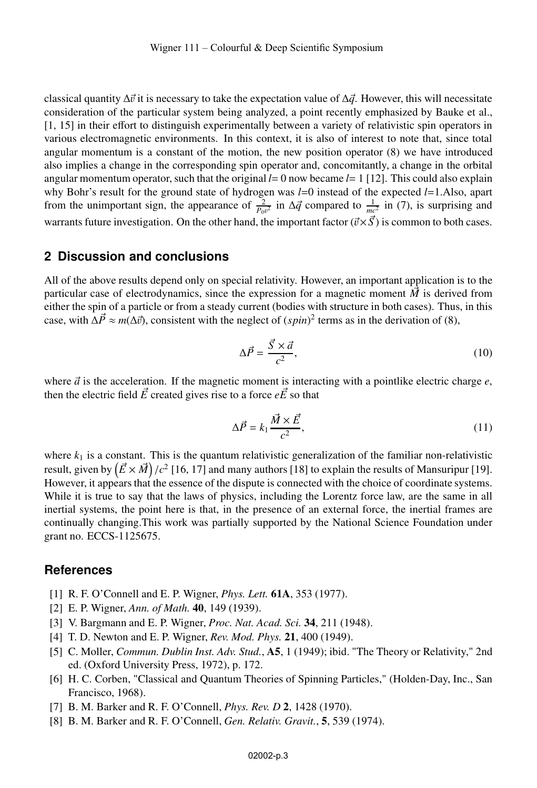classical quantity  $\Delta \vec{v}$  it is necessary to take the expectation value of  $\Delta \vec{q}$ . However, this will necessitate consideration of the particular system being analyzed, a point recently emphasized by Bauke et al., [1, 15] in their effort to distinguish experimentally between a variety of relativistic spin operators in various electromagnetic environments. In this context, it is also of interest to note that, since total angular momentum is a constant of the motion, the new position operator (8) we have introduced also implies a change in the corresponding spin operator and, concomitantly, a change in the orbital angular momentum operator, such that the original  $l=0$  now became  $l=1$  [12]. This could also explain why Bohr's result for the ground state of hydrogen was *l*=0 instead of the expected *l*=1.Also, apart from the unimportant sign, the appearance of  $\frac{2}{P_0v^2}$  in  $\Delta \vec{q}$  compared to  $\frac{1}{mc^2}$  in (7), is surprising and warrants future investigation. On the other hand, the important factor  $(\vec{v} \times \vec{S})$  is common to both cases.

#### **2 Discussion and conclusions**

All of the above results depend only on special relativity. However, an important application is to the particular case of electrodynamics, since the expression for a magnetic moment  $\vec{M}$  is derived from either the spin of a particle or from a steady current (bodies with structure in both cases). Thus, in this case, with  $\Delta \vec{P} \approx m(\Delta \vec{v})$ , consistent with the neglect of  $(spin)^2$  terms as in the derivation of (8),

$$
\Delta \vec{P} = \frac{\vec{S} \times \vec{a}}{c^2},\tag{10}
$$

where  $\vec{a}$  is the acceleration. If the magnetic moment is interacting with a pointlike electric charge  $e$ , then the electric field  $\vec{E}$  created gives rise to a force  $e\vec{E}$  so that

$$
\Delta \vec{P} = k_1 \frac{\vec{M} \times \vec{E}}{c^2},\tag{11}
$$

where  $k_1$  is a constant. This is the quantum relativistic generalization of the familiar non-relativistic result, given by  $\left(\vec{E}\times\vec{M}\right)/c^2$  [16, 17] and many authors [18] to explain the results of Mansuripur [19]. However, it appears that the essence of the dispute is connected with the choice of coordinate systems. While it is true to say that the laws of physics, including the Lorentz force law, are the same in all inertial systems, the point here is that, in the presence of an external force, the inertial frames are continually changing.This work was partially supported by the National Science Foundation under grant no. ECCS-1125675.

#### **References**

- [1] R. F. O'Connell and E. P. Wigner, *Phys. Lett.* 61A, 353 (1977).
- [2] E. P. Wigner, *Ann. of Math.* 40, 149 (1939).
- [3] V. Bargmann and E. P. Wigner, *Proc. Nat. Acad. Sci.* 34, 211 (1948).
- [4] T. D. Newton and E. P. Wigner, *Rev. Mod. Phys.* 21, 400 (1949).
- [5] C. Moller, *Commun. Dublin Inst. Adv. Stud.*, A5, 1 (1949); ibid. "The Theory or Relativity," 2nd ed. (Oxford University Press, 1972), p. 172.
- [6] H. C. Corben, "Classical and Quantum Theories of Spinning Particles," (Holden-Day, Inc., San Francisco, 1968).
- [7] B. M. Barker and R. F. O'Connell, *Phys. Rev. D* 2, 1428 (1970).
- [8] B. M. Barker and R. F. O'Connell, *Gen. Relativ. Gravit.*, 5, 539 (1974).